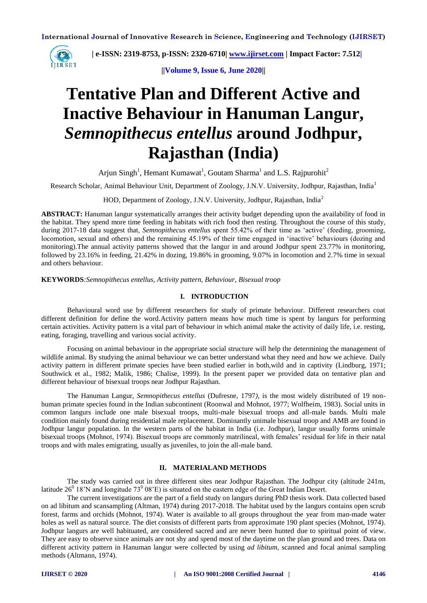

 **| e-ISSN: 2319-8753, p-ISSN: 2320-6710| [www.ijirset.com](http://www.ijirset.com/) | Impact Factor: 7.512|**

**||Volume 9, Issue 6, June 2020||** 

# **Tentative Plan and Different Active and Inactive Behaviour in Hanuman Langur,**  *Semnopithecus entellus* **around Jodhpur, Rajasthan (India)**

Arjun Singh<sup>1</sup>, Hemant Kumawat<sup>1</sup>, Goutam Sharma<sup>1</sup> and L.S. Rajpurohit<sup>2</sup>

Research Scholar, Animal Behaviour Unit, Department of Zoology, J.N.V. University, Jodhpur, Rajasthan, India<sup>1</sup>

HOD, Department of Zoology, J.N.V. University, Jodhpur, Rajasthan, India<sup>2</sup>

**ABSTRACT:** Hanuman langur systematically arranges their activity budget depending upon the availability of food in the habitat. They spend more time feeding in habitats with rich food then resting. Throughout the course of this study, during 2017-18 data suggest that, *Semnopithecus entellus* spent 55.42% of their time as 'active' (feeding, grooming, locomotion, sexual and others) and the remaining 45.19% of their time engaged in 'inactive' behaviours (dozing and monitoring).The annual activity patterns showed that the langur in and around Jodhpur spent 23.77% in monitoring, followed by 23.16% in feeding, 21.42% in dozing, 19.86% in grooming, 9.07% in locomotion and 2.7% time in sexual and others behaviour.

**KEYWORDS***:Semnopithecus entellus, Activity pattern, Behaviour, Bisexual troop*

## **I. INTRODUCTION**

Behavioural word use by different researchers for study of primate behaviour. Different researchers coat different definition for define the word.Activity pattern means how much time is spent by langurs for performing certain activities. Activity pattern is a vital part of behaviour in which animal make the activity of daily life, i.e. resting, eating, foraging, travelling and various social activity.

Focusing on animal behaviour in the appropriate social structure will help the determining the management of wildlife animal. By studying the animal behaviour we can better understand what they need and how we achieve. Daily activity pattern in different primate species have been studied earlier in both,wild and in captivity (Lindburg, 1971; Southwick et al., 1982; Malik, 1986; Chalise, 1999). In the present paper we provided data on tentative plan and different behaviour of bisexual troops near Jodhpur Rajasthan.

The Hanuman Langur, *Semnopithecus entellus* (Dufresne, 1797*),* is the most widely distributed of 19 nonhuman primate species found in the Indian subcontinent (Roonwal and Mohnot, 1977; Wolfheim, 1983). Social units in common langurs include one male bisexual troops, multi-male bisexual troops and all-male bands. Multi male condition mainly found during residential male replacement. Dominantly unimale bisexual troop and AMB are found in Jodhpur langur population. In the western parts of the habitat in India (i.e. Jodhpur), langur usually forms unimale bisexual troops (Mohnot, 1974). Bisexual troops are commonly matrilineal, with females' residual for life in their natal troops and with males emigrating, usually as juveniles, to join the all-male band.

# **II. MATERIALAND METHODS**

The study was carried out in three different sites near Jodhpur Rajasthan. The Jodhpur city (altitude 241m, latitude 26<sup>0</sup> 18'N and longitude 73<sup>0</sup> 08'E) is situated on the eastern edge of the Great Indian Desert.

The current investigations are the part of a field study on langurs during PhD thesis work. Data collected based on ad libitum and scansampling (Altman, 1974) during 2017-2018. The habitat used by the langurs contains open scrub forest, farms and orchids (Mohnot, 1974). Water is available to all groups throughout the year from man-made water holes as well as natural source. The diet consists of different parts from approximate 190 plant species (Mohnot, 1974). Jodhpur langurs are well habituated, are considered sacred and are never been hunted due to spiritual point of view. They are easy to observe since animals are not shy and spend most of the daytime on the plan ground and trees. Data on different activity pattern in Hanuman langur were collected by using *ad libitum,* scanned and focal animal sampling methods (Altmann, 1974).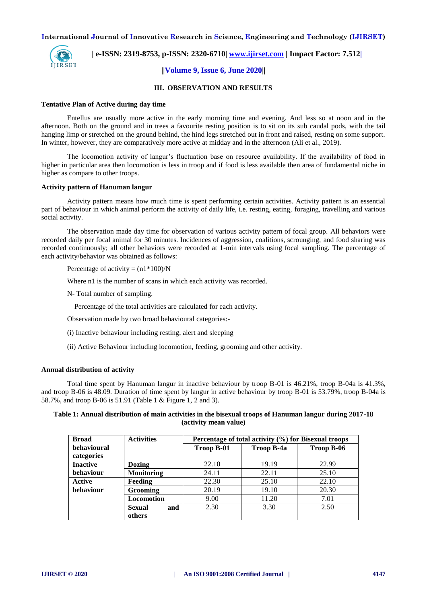

 **| e-ISSN: 2319-8753, p-ISSN: 2320-6710| [www.ijirset.com](http://www.ijirset.com/) | Impact Factor: 7.512|**

# **||Volume 9, Issue 6, June 2020||**

#### **III. OBSERVATION AND RESULTS**

#### **Tentative Plan of Active during day time**

Entellus are usually more active in the early morning time and evening. And less so at noon and in the afternoon. Both on the ground and in trees a favourite resting position is to sit on its sub caudal pods, with the tail hanging limp or stretched on the ground behind, the hind legs stretched out in front and raised, resting on some support. In winter, however, they are comparatively more active at midday and in the afternoon (Ali et al., 2019).

The locomotion activity of langur's fluctuation base on resource availability. If the availability of food in higher in particular area then locomotion is less in troop and if food is less available then area of fundamental niche in higher as compare to other troops.

#### **Activity pattern of Hanuman langur**

Activity pattern means how much time is spent performing certain activities. Activity pattern is an essential part of behaviour in which animal perform the activity of daily life, i.e. resting, eating, foraging, travelling and various social activity.

The observation made day time for observation of various activity pattern of focal group. All behaviors were recorded daily per focal animal for 30 minutes. Incidences of aggression, coalitions, scrounging, and food sharing was recorded continuously; all other behaviors were recorded at 1-min intervals using focal sampling. The percentage of each activity/behavior was obtained as follows:

Percentage of activity =  $(n1*100)/N$ 

Where n1 is the number of scans in which each activity was recorded.

N- Total number of sampling.

Percentage of the total activities are calculated for each activity.

Observation made by two broad behavioural categories:-

- (i) Inactive behaviour including resting, alert and sleeping
- (ii) Active Behaviour including locomotion, feeding, grooming and other activity.

#### **Annual distribution of activity**

Total time spent by Hanuman langur in inactive behaviour by troop B-01 is 46.21%, troop B-04a is 41.3%, and troop B-06 is 48.09. Duration of time spent by langur in active behaviour by troop B-01 is 53.79%, troop B-04a is 58.7%, and troop B-06 is 51.91 (Table 1 & Figure 1, 2 and 3).

# **Table 1: Annual distribution of main activities in the bisexual troops of Hanuman langur during 2017-18 (activity mean value)**

| <b>Broad</b>     | <b>Activities</b> | Percentage of total activity (%) for Bisexual troops |            |            |
|------------------|-------------------|------------------------------------------------------|------------|------------|
| behavioural      |                   | Troop B-01                                           | Troop B-4a | Troop B-06 |
| categories       |                   |                                                      |            |            |
| <b>Inactive</b>  | Dozing            | 22.10                                                | 19.19      | 22.99      |
| behaviour        | <b>Monitoring</b> | 24.11                                                | 22.11      | 25.10      |
| <b>Active</b>    | Feeding           | 22.30                                                | 25.10      | 22.10      |
| <b>behaviour</b> | <b>Grooming</b>   | 20.19                                                | 19.10      | 20.30      |
|                  | <b>Locomotion</b> | 9.00                                                 | 11.20      | 7.01       |
|                  | and<br>Sexual     | 2.30                                                 | 3.30       | 2.50       |
|                  | others            |                                                      |            |            |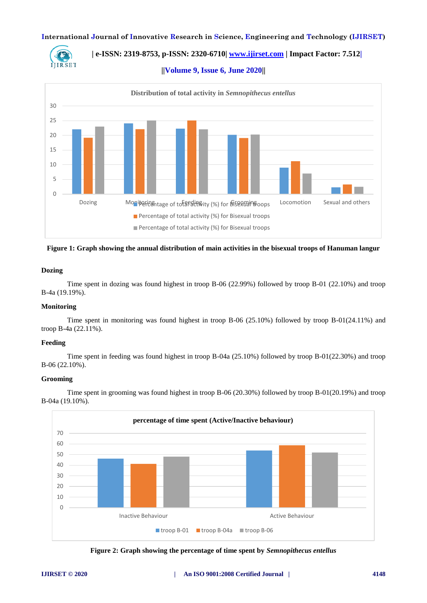

 **| e-ISSN: 2319-8753, p-ISSN: 2320-6710| [www.ijirset.com](http://www.ijirset.com/) | Impact Factor: 7.512|**

**||Volume 9, Issue 6, June 2020||** 



**Figure 1: Graph showing the annual distribution of main activities in the bisexual troops of Hanuman langur**

# **Dozing**

Time spent in dozing was found highest in troop B-06 (22.99%) followed by troop B-01 (22.10%) and troop B-4a (19.19%).

# **Monitoring**

Time spent in monitoring was found highest in troop B-06 (25.10%) followed by troop B-01(24.11%) and troop B-4a (22.11%).

#### **Feeding**

Time spent in feeding was found highest in troop B-04a (25.10%) followed by troop B-01(22.30%) and troop B-06 (22.10%).

## **Grooming**

Time spent in grooming was found highest in troop B-06 (20.30%) followed by troop B-01(20.19%) and troop B-04a (19.10%).



**Figure 2: Graph showing the percentage of time spent by** *Semnopithecus entellus*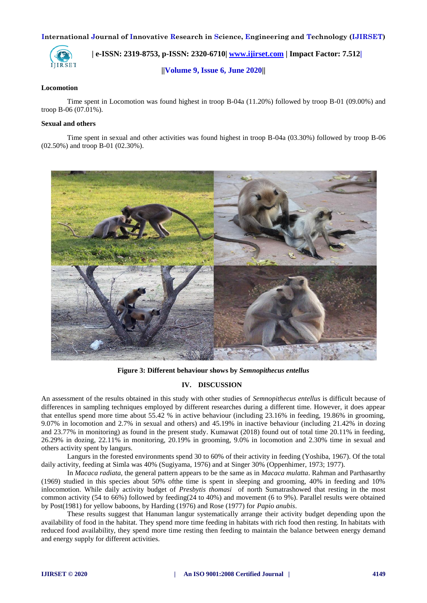

 **| e-ISSN: 2319-8753, p-ISSN: 2320-6710| [www.ijirset.com](http://www.ijirset.com/) | Impact Factor: 7.512|**

**||Volume 9, Issue 6, June 2020||** 

#### **Locomotion**

Time spent in Locomotion was found highest in troop B-04a (11.20%) followed by troop B-01 (09.00%) and troop B-06 (07.01%).

# **Sexual and others**

Time spent in sexual and other activities was found highest in troop B-04a (03.30%) followed by troop B-06 (02.50%) and troop B-01 (02.30%).



**Figure 3: Different behaviour shows by** *Semnopithecus entellus*

# **IV. DISCUSSION**

An assessment of the results obtained in this study with other studies of *Semnopithecus entellus* is difficult because of differences in sampling techniques employed by different researches during a different time. However, it does appear that entellus spend more time about 55.42 % in active behaviour (including 23.16% in feeding, 19.86% in grooming, 9.07% in locomotion and 2.7% in sexual and others) and 45.19% in inactive behaviour (including 21.42% in dozing and 23.77% in monitoring) as found in the present study. Kumawat (2018) found out of total time 20.11% in feeding, 26.29% in dozing, 22.11% in monitoring, 20.19% in grooming, 9.0% in locomotion and 2.30% time in sexual and others activity spent by langurs.

Langurs in the forested environments spend 30 to 60% of their activity in feeding (Yoshiba, 1967). Of the total daily activity, feeding at Simla was 40% (Sugiyama, 1976) and at Singer 30% (Oppenhimer, 1973; 1977).

In *Macaca radiata,* the general pattern appears to be the same as in *Macaca mulatta*. Rahman and Parthasarthy (1969) studied in this species about 50% ofthe time is spent in sleeping and grooming, 40% in feeding and 10% inlocomotion. While daily activity budget of *Presbytis thomasi* of north Sumatrashowed that resting in the most common activity (54 to 66%) followed by feeding(24 to 40%) and movement (6 to 9%). Parallel results were obtained by Post(1981) for yellow baboons, by Harding (1976) and Rose (1977) for *Papio anubis*.

These results suggest that Hanuman langur systematically arrange their activity budget depending upon the availability of food in the habitat. They spend more time feeding in habitats with rich food then resting. In habitats with reduced food availability, they spend more time resting then feeding to maintain the balance between energy demand and energy supply for different activities.